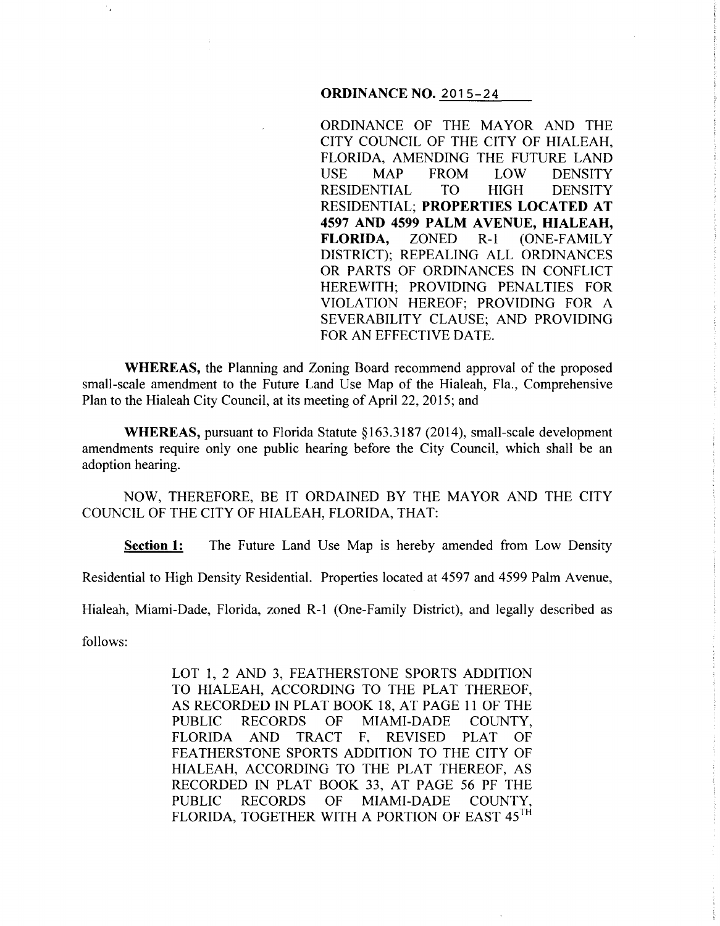#### **ORDINANCE NO. 2015-24**

ORDINANCE OF THE MAYOR AND THE CITY COUNCIL OF THE CITY OF HIALEAH, FLORIDA, AMENDING THE FUTURE LAND USE MAP FROM LOW DENSITY RESIDENTIAL TO HIGH DENSITY RESIDENTIAL; **PROPERTIES LOCATED AT 4597 AND 4599 PALM A VENUE, HIALEAH, FLORIDA,** ZONED R-1 (ONE-FAMILY DISTRICT); REPEALING ALL ORDINANCES OR PARTS OF ORDINANCES IN CONFLICT HEREWITH; PROVIDING PENALTIES FOR VIOLATION HEREOF; PROVIDING FOR A SEVERABILITY CLAUSE; AND PROVIDING FOR AN EFFECTIVE DATE.

**WHEREAS,** the Planning and Zoning Board recommend approval of the proposed small-scale amendment to the Future Land Use Map of the Hialeah, Fla., Comprehensive Plan to the Hialeah City Council, at its meeting of April22, 2015; and

**WHEREAS, pursuant to Florida Statute §163.3187 (2014), small-scale development** amendments require only one public hearing before the City Council, which shall be an adoption hearing.

NOW, THEREFORE, BE IT ORDAINED BY THE MAYOR AND THE CITY COUNCIL OF THE CITY OF HIALEAH, FLORIDA, THAT:

**Section 1:** The Future Land Use Map is hereby amended from Low Density

Residential to High Density Residential. Properties located at 4597 and 4599 Palm A venue,

Hialeah, Miami-Dade, Florida, zoned R-1 (One-Family District), and legally described as

follows:

LOT 1, 2 AND 3, FEATHERSTONE SPORTS ADDITION TO HIALEAH, ACCORDING TO THE PLAT THEREOF, AS RECORDED IN PLAT BOOK 18, AT PAGE 11 OF THE PUBLIC RECORDS OF MIAMI-DADE COUNTY, FLORIDA AND TRACT F, REVISED PLAT OF FEATHERSTONE SPORTS ADDITION TO THE CITY OF HIALEAH, ACCORDING TO THE PLAT THEREOF, AS RECORDED IN PLAT BOOK 33, AT PAGE 56 PF THE PUBLIC RECORDS OF MIAMI-DADE COUNTY, FLORIDA, TOGETHER WITH A PORTION OF EAST 45TH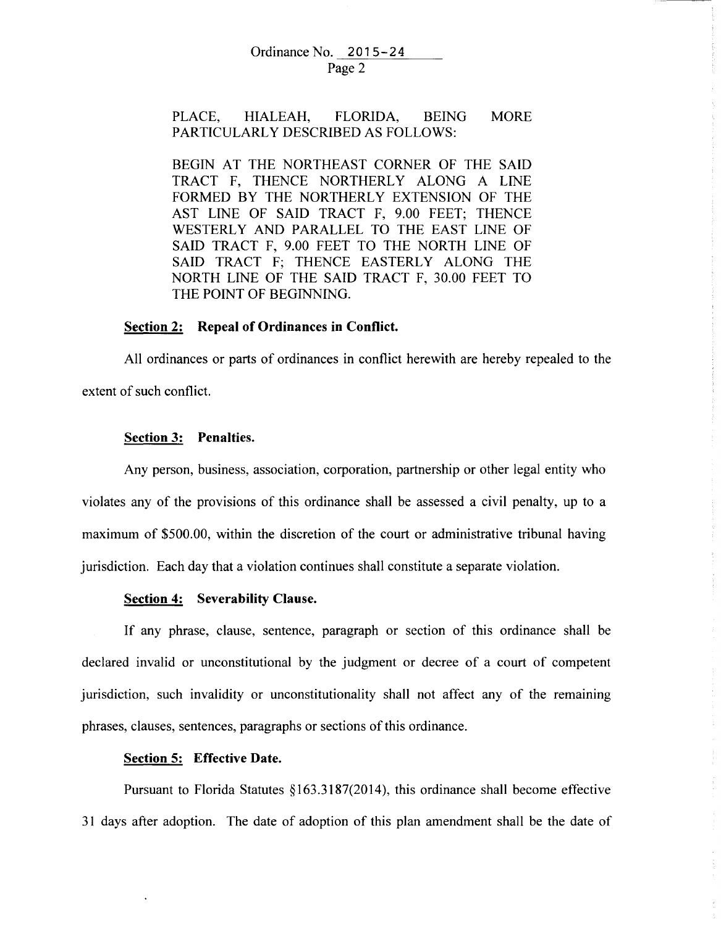#### Ordinance No. 2015-24 Page 2

#### PLACE, HIALEAH, FLORIDA, BEING PARTICULARLY DESCRIBED AS FOLLOWS: MORE

BEGIN AT THE NORTHEAST CORNER OF THE SAID TRACT F, THENCE NORTHERLY ALONG A LINE FORMED BY THE NORTHERLY EXTENSION OF THE AST LINE OF SAID TRACT F, 9.00 FEET; THENCE WESTERLY AND PARALLEL TO THE EAST LINE OF SAID TRACT F, 9.00 FEET TO THE NORTH LINE OF SAID TRACT F; THENCE EASTERLY ALONG THE NORTH LINE OF THE SAID TRACT F, 30.00 FEET TO THE POINT OF BEGINNING.

# **Section 2: Repeal of Ordinances in Conflict.**

All ordinances or parts of ordinances in conflict herewith are hereby repealed to the extent of such conflict.

### **Section 3: Penalties.**

Any person, business, association, corporation, partnership or other legal entity who violates any of the provisions of this ordinance shall be assessed a civil penalty, up to a maximum of \$500.00, within the discretion of the court or administrative tribunal having jurisdiction. Each day that a violation continues shall constitute a separate violation.

#### **Section 4: Severability Clause.**

If any phrase, clause, sentence, paragraph or section of this ordinance shall be declared invalid or unconstitutional by the judgment or decree of a court of competent jurisdiction, such invalidity or unconstitutionality shall not affect any of the remaining phrases, clauses, sentences, paragraphs or sections of this ordinance.

# **Section 5: Effective Date.**

Pursuant to Florida Statutes §163.3187(2014), this ordinance shall become effective 31 days after adoption. The date of adoption of this plan amendment shall be the date of